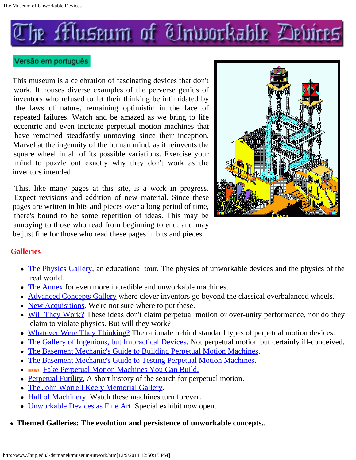<span id="page-0-0"></span>

### Versão em português

This museum is a celebration of fascinating devices that don't work. It houses diverse examples of the perverse genius of inventors who refused to let their thinking be intimidated by the laws of nature, remaining optimistic in the face of repeated failures. Watch and be amazed as we bring to life eccentric and even intricate perpetual motion machines that have remained steadfastly unmoving since their inception. Marvel at the ingenuity of the human mind, as it reinvents the square wheel in all of its possible variations. Exercise your mind to puzzle out exactly why they don't work as the inventors intended.

This, like many pages at this site, is a work in progress. Expect revisions and addition of new material. Since these pages are written in bits and pieces over a long period of time, there's bound to be some repetition of ideas. This may be annoying to those who read from beginning to end, and may be just fine for those who read these pages in bits and pieces.



### **Galleries**

- [The Physics Gallery](http://www.lhup.edu/~dsimanek/museum/physgal.htm), an educational tour. The physics of unworkable devices and the physics of the real world.
- [The Annex](http://www.lhup.edu/~dsimanek/museum/annex.htm) for even more incredible and unworkable machines.
- [Advanced Concepts Gallery](http://www.lhup.edu/~dsimanek/museum/advanced.htm) where clever inventors go beyond the classical overbalanced wheels.
- [New Acquisitions](http://www.lhup.edu/~dsimanek/museum/newacqui.htm). We're not sure where to put these.
- [Will They Work?](http://www.lhup.edu/~dsimanek/museum/workable.htm) These ideas don't claim perpetual motion or over-unity performance, nor do they claim to violate physics. But will they work?
- [Whatever Were They Thinking?](http://www.lhup.edu/~dsimanek/museum/thinking.htm) The rationale behind standard types of perpetual motion devices.
- [The Gallery of Ingenious, but Impractical Devices](http://www.lhup.edu/~dsimanek/museum/impract.htm). Not perpetual motion but certainly ill-conceived.
- [The Basement Mechanic's Guide to Building Perpetual Motion Machines](http://www.lhup.edu/~dsimanek/museum/models/build-pm.htm).
- [The Basement Mechanic's Guide to Testing Perpetual Motion Machines](http://www.lhup.edu/~dsimanek/museum/test-pm.htm).
- NEW! [Fake Perpetual Motion Machines You Can Build.](http://www.lhup.edu/~dsimanek/museum/themes/fake-pm.htm)
- [Perpetual Futility](http://www.lhup.edu/~dsimanek/museum/people/people.htm), A short history of the search for perpetual motion.
- [The John Worrell Keely Memorial Gallery](http://www.lhup.edu/~dsimanek/museum/keely/keely.htm).
- [Hall of Machinery](http://www.lhup.edu/~dsimanek/museum/machines/machines.htm). Watch these machines turn forever.
- [Unworkable Devices as Fine Art](http://www.lhup.edu/~dsimanek/museum/art.htm). Special exhibit now open.
- **Themed Galleries: The evolution and persistence of unworkable concepts.**.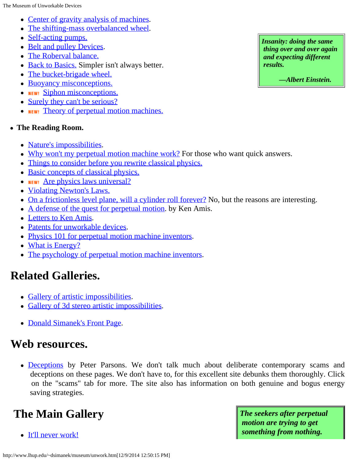The Museum of Unworkable Devices

- [Center of gravity analysis of machines](http://www.lhup.edu/~dsimanek/museum/themes/centgrav.htm).
- [The shifting-mass overbalanced wheel](http://www.lhup.edu/~dsimanek/museum/overbal.htm).
- [Self-acting pumps.](http://www.lhup.edu/~dsimanek/museum/themes/pumps.htm)
- [Belt and pulley Devices](http://www.lhup.edu/~dsimanek/museum/themes/pulley.htm).
- [The Roberval balance.](http://www.lhup.edu/~dsimanek/museum/roberval.htm)
- [Back to Basics.](http://www.lhup.edu/~dsimanek/museum/simpler.htm) Simpler isn't always better.
- [The bucket-brigade wheel.](http://www.lhup.edu/~dsimanek/museum/themes/bellows.htm)
- [Buoyancy misconceptions.](http://www.lhup.edu/~dsimanek/museum/themes/buoyant.htm)
- **NEW!** [Siphon misconceptions.](http://www.lhup.edu/~dsimanek/museum/themes/siphon.htm)
- [Surely they can't be serious?](http://www.lhup.edu/~dsimanek/museum/serious/serious.htm)
- **NEW!** [Theory of perpetual motion machines.](http://www.lhup.edu/~dsimanek/museum/themes/theory.htm)
- **The Reading Room.**
	- [Nature's impossibilities](http://www.lhup.edu/~dsimanek/museum/impossible.htm).
	- [Why won't my perpetual motion machine work?](http://www.lhup.edu/~dsimanek/museum/themes/whynot.htm) For those who want quick answers.
	- [Things to consider before you rewrite classical physics.](http://www.lhup.edu/~dsimanek/museum/themes/modify.htm)
	- [Basic concepts of classical physics.](http://www.lhup.edu/~dsimanek/museum/basics.htm)
	- **NEW!** [Are physics laws universal?](http://www.lhup.edu/~dsimanek/museum/themes/universal.htm)
	- [Violating Newton's Laws.](http://www.lhup.edu/~dsimanek/museum/themes/NewtonsThird.htm)
	- [On a frictionless level plane, will a cylinder roll forever?](http://www.lhup.edu/~dsimanek/scenario/rolling.htm) No, but the reasons are interesting.
	- [A defense of the quest for perpetual motion](http://www.lhup.edu/~dsimanek/museum/kamis.htm). by Ken Amis.
	- [Letters to Ken Amis](http://www.lhup.edu/~dsimanek/museum/mailbag.htm).
	- [Patents for unworkable devices](http://www.lhup.edu/~dsimanek/museum/patents.htm).
	- [Physics 101 for perpetual motion machine inventors](http://www.lhup.edu/~dsimanek/museum/phys101.htm).
	- [What is Energy?](http://www.lhup.edu/~dsimanek/museum/energy.htm)
	- [The psychology of perpetual motion machine inventors](http://www.lhup.edu/~dsimanek/museum/psych.htm).

# **Related Galleries.**

- [Gallery of artistic impossibilities](http://www.lhup.edu/~dsimanek/3d/illus1.htm).
- [Gallery of 3d stereo artistic impossibilities](http://www.lhup.edu/~dsimanek/3d/illus2.htm).
- [Donald Simanek's Front Page](http://www.lhup.edu/~dsimanek/home.htm).

# **Web resources.**

• [Deceptions](http://www.nlcpr.com/Deceptions1.php) by Peter Parsons. We don't talk much about deliberate contemporary scams and deceptions on these pages. We don't have to, for this excellent site debunks them thoroughly. Click on the "scams" tab for more. The site also has information on both genuine and bogus energy saving strategies.

# **The Main Gallery**

• [It'll never work!](#page-2-0)

*Insanity: doing the same thing over and over again and expecting different results.*

*—Albert Einstein.*

*The seekers after perpetual motion are trying to get something from nothing.*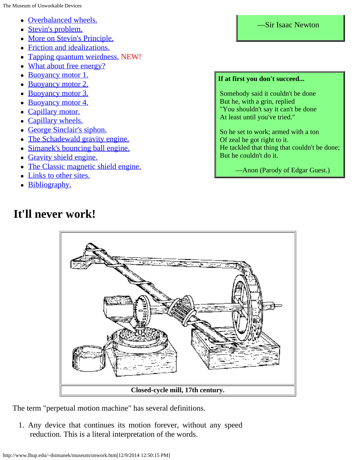- —Sir Isaac Newton [Overbalanced wheels.](#page-6-0)
- [Stevin's problem.](#page-8-0)
- [More on Stevin's Principle.](#page-9-0)
- [Friction and idealizations.](#page-11-0)
- [Tapping quantum weirdness.](#page-12-0) NEW!
- [What about free energy?](#page-12-1)
- [Buoyancy motor 1.](#page-14-0)
- [Buoyancy motor 2.](#page-16-0)
- [Buoyancy motor 3.](#page-17-0)
- [Buoyancy motor 4.](#page-18-0)
- [Capillary motor.](#page-19-0)
- [Capillary wheels.](#page-20-0)
- [George Sinclair's siphon.](#page-21-0)
- [The Schadewald gravity engine.](#page-21-1)
- [Simanek's bouncing ball engine.](#page-23-0)
- [Gravity shield engine.](#page-24-0)
- [The Classic magnetic shield engine.](#page-26-0)
- [Links to other sites.](#page-28-0)

<span id="page-2-0"></span>**It'll never work!**

• [Bibliography.](#page-28-1)

## **If at first you don't succeed...**

Somebody said it couldn't be done But he, with a grin, replied "You shouldn't say it can't be done At least until you've tried."

So he set to work; armed with a ton Of zeal he got right to it. He tackled that thing that couldn't be done; But he couldn't do it.

—Anon (Parody of Edgar Guest.)

# **Closed-cycle mill, 17th century.**

The term "perpetual motion machine" has several definitions.

1. Any device that continues its motion forever, without any speed reduction. This is a literal interpretation of the words.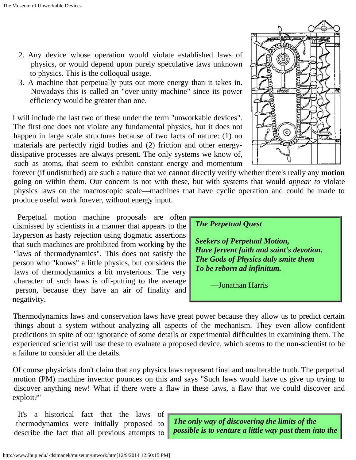- 2. Any device whose operation would violate established laws of physics, or would depend upon purely speculative laws unknown to physics. This is the colloqual usage.
- 3. A machine that perpetually puts out more energy than it takes in. Nowadays this is called an "over-unity machine" since its power efficiency would be greater than one.

I will include the last two of these under the term "unworkable devices". The first one does not violate any fundamental physics, but it does not happen in large scale structures because of two facts of nature: (1) no materials are perfectly rigid bodies and (2) friction and other energydissipative processes are always present. The only systems we know of, such as atoms, that seem to exhibit constant energy and momentum

 forever (if undisturbed) are such a nature that we cannot directly verify whether there's really any **motion** going on within them. Our concern is not with these, but with systems that would *appear to* violate physics laws on the macroscopic scale—machines that have cyclic operation and could be made to produce useful work forever, without energy input.

Perpetual motion machine proposals are often dismissed by scientists in a manner that appears to the layperson as hasty rejection using dogmatic assertions that such machines are prohibited from working by the "laws of thermodynamics". This does not satisfy the person who "knows" a little physics, but considers the laws of thermodynamics a bit mysterious. The very character of such laws is off-putting to the average person, because they have an air of finality and negativity.

Thermodynamics laws and conservation laws have great power because they allow us to predict certain things about a system without analyzing all aspects of the mechanism. They even allow confident predictions in spite of our ignorance of some details or experimental difficulties in examining them. The experienced scientist will use these to evaluate a proposed device, which seems to the non-scientist to be a failure to consider all the details.

Of course physicists don't claim that any physics laws represent final and unalterable truth. The perpetual motion (PM) machine inventor pounces on this and says "Such laws would have us give up trying to discover anything new! What if there were a flaw in these laws, a flaw that we could discover and exploit?"

It's a historical fact that the laws of thermodynamics were initially proposed to describe the fact that all previous attempts to

*The only way of discovering the limits of the possible is to venture a little way past them into the*



*Seekers of Perpetual Motion, Have fervent faith and saint's devotion. The Gods of Physics duly smite them To be reborn ad infinitum.*

—Jonathan Harris

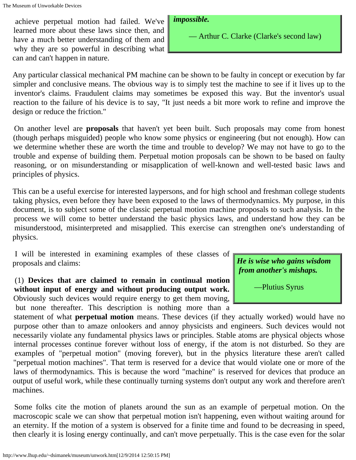achieve perpetual motion had failed. We've learned more about these laws since then, and have a much better understanding of them and why they are so powerful in describing what can and can't happen in nature.

### *impossible.*

— Arthur C. Clarke (Clarke's second law)

Any particular classical mechanical PM machine can be shown to be faulty in concept or execution by far simpler and conclusive means. The obvious way is to simply test the machine to see if it lives up to the inventor's claims. Fraudulent claims may sometimes be exposed this way. But the inventor's usual reaction to the failure of his device is to say, "It just needs a bit more work to refine and improve the design or reduce the friction."

On another level are **proposals** that haven't yet been built. Such proposals may come from honest (though perhaps misguided) people who know some physics or engineering (but not enough). How can we determine whether these are worth the time and trouble to develop? We may not have to go to the trouble and expense of building them. Perpetual motion proposals can be shown to be based on faulty reasoning, or on misunderstanding or misapplication of well-known and well-tested basic laws and principles of physics.

This can be a useful exercise for interested laypersons, and for high school and freshman college students taking physics, even before they have been exposed to the laws of thermodynamics. My purpose, in this document, is to subject some of the classic perpetual motion machine proposals to such analysis. In the process we will come to better understand the basic physics laws, and understand how they can be misunderstood, misinterpreted and misapplied. This exercise can strengthen one's understanding of physics.

I will be interested in examining examples of these classes of proposals and claims:

(1) **Devices that are claimed to remain in continual motion without input of energy and without producing output work.** Obviously such devices would require energy to get them moving, but none thereafter. This description is nothing more than a

*He is wise who gains wisdom from another's mishaps.*

—Plutius Syrus

 statement of what **perpetual motion** means. These devices (if they actually worked) would have no purpose other than to amaze onlookers and annoy physicists and engineers. Such devices would not necessarily violate any fundamental physics laws or principles. Stable atoms are physical objects whose internal processes continue forever without loss of energy, if the atom is not disturbed. So they are examples of "perpetual motion" (moving forever), but in the physics literature these aren't called "perpetual motion machines". That term is reserved for a device that would violate one or more of the laws of thermodynamics. This is because the word "machine" is reserved for devices that produce an output of useful work, while these continually turning systems don't output any work and therefore aren't machines.

Some folks cite the motion of planets around the sun as an example of perpetual motion. On the macroscopic scale we can show that perpetual motion isn't happening, even without waiting around for an eternity. If the motion of a system is observed for a finite time and found to be decreasing in speed, then clearly it is losing energy continually, and can't move perpetually. This is the case even for the solar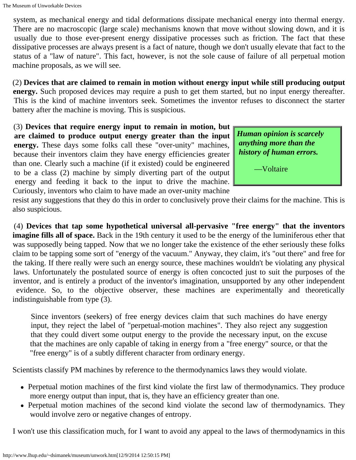system, as mechanical energy and tidal deformations dissipate mechanical energy into thermal energy. There are no macroscopic (large scale) mechanisms known that move without slowing down, and it is usually due to those ever-present energy dissipative processes such as friction. The fact that these dissipative processes are always present is a fact of nature, though we don't usually elevate that fact to the status of a "law of nature". This fact, however, is not the sole cause of failure of all perpetual motion machine proposals, as we will see.

(2) **Devices that are claimed to remain in motion without energy input while still producing output energy.** Such proposed devices may require a push to get them started, but no input energy thereafter. This is the kind of machine inventors seek. Sometimes the inventor refuses to disconnect the starter battery after the machine is moving. This is suspicious.

(3) **Devices that require energy input to remain in motion, but are claimed to produce output energy greater than the input energy.** These days some folks call these "over-unity" machines, because their inventors claim they have energy efficiencies greater than one. Clearly such a machine (if it existed) could be engineered to be a class (2) machine by simply diverting part of the output energy and feeding it back to the input to drive the machine. Curiously, inventors who claim to have made an over-unity machine

*Human opinion is scarcely anything more than the history of human errors.*

—Voltaire

 resist any suggestions that they do this in order to conclusively prove their claims for the machine. This is also suspicious.

(4) **Devices that tap some hypothetical universal all-pervasive "free energy" that the inventors imagine fills all of space.** Back in the 19th century it used to be the energy of the luminiferous ether that was supposedly being tapped. Now that we no longer take the existence of the ether seriously these folks claim to be tapping some sort of "energy of the vacuum." Anyway, they claim, it's "out there" and free for the taking. If there really were such an energy source, these machines wouldn't be violating any physical laws. Unfortunately the postulated source of energy is often concocted just to suit the purposes of the inventor, and is entirely a product of the inventor's imagination, unsupported by any other independent evidence. So, to the objective observer, these machines are experimentally and theoretically indistinguishable from type (3).

Since inventors (seekers) of free energy devices claim that such machines do have energy input, they reject the label of "perpetual-motion machines". They also reject any suggestion that they could divert some output energy to the provide the necessary input, on the excuse that the machines are only capable of taking in energy from a "free energy" source, or that the "free energy" is of a subtly different character from ordinary energy.

Scientists classify PM machines by reference to the thermodynamics laws they would violate.

- Perpetual motion machines of the first kind violate the first law of thermodynamics. They produce more energy output than input, that is, they have an efficiency greater than one.
- Perpetual motion machines of the second kind violate the second law of thermodynamics. They would involve zero or negative changes of entropy.

I won't use this classification much, for I want to avoid any appeal to the laws of thermodynamics in this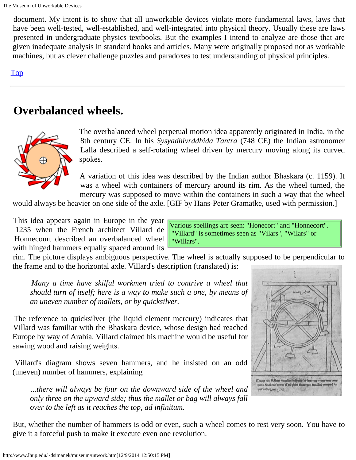document. My intent is to show that all unworkable devices violate more fundamental laws, laws that have been well-tested, well-established, and well-integrated into physical theory. Usually these are laws presented in undergraduate physics textbooks. But the examples I intend to analyze are those that are given inadequate analysis in standard books and articles. Many were originally proposed not as workable machines, but as clever challenge puzzles and paradoxes to test understanding of physical principles.

### <span id="page-6-0"></span>[Top](#page-0-0)

# **Overbalanced wheels.**



The overbalanced wheel perpetual motion idea apparently originated in India, in the 8th century CE. In his *Sysyadhivrddhida Tantra* (748 CE) the Indian astronomer Lalla described a self-rotating wheel driven by mercury moving along its curved spokes.

A variation of this idea was described by the Indian author Bhaskara (c. 1159). It was a wheel with containers of mercury around its rim. As the wheel turned, the mercury was supposed to move within the containers in such a way that the wheel

would always be heavier on one side of the axle. [GIF by Hans-Peter Gramatke, used with permission.]

This idea appears again in Europe in the year 1235 when the French architect Villard de Honnecourt described an overbalanced wheel with hinged hammers equally spaced around its

Various spellings are seen: "Honecort" and "Honnecort". "Villard" is sometimes seen as "Vilars", "Wilars" or "Willars".

 rim. The picture displays ambiguous perspective. The wheel is actually supposed to be perpendicular to the frame and to the horizontal axle. Villard's description (translated) is:

 *Many a time have skilful workmen tried to contrive a wheel that should turn of itself; here is a way to make such a one, by means of an uneven number of mallets, or by quicksilver.*

The reference to quicksilver (the liquid element mercury) indicates that Villard was familiar with the Bhaskara device, whose design had reached Europe by way of Arabia. Villard claimed his machine would be useful for sawing wood and raising weights.

Villard's diagram shows seven hammers, and he insisted on an odd (uneven) number of hammers, explaining

*...there will always be four on the downward side of the wheel and only three on the upward side; thus the mallet or bag will always fall over to the left as it reaches the top, ad infinitum.*

But, whether the number of hammers is odd or even, such a wheel comes to rest very soon. You have to give it a forceful push to make it execute even one revolution.

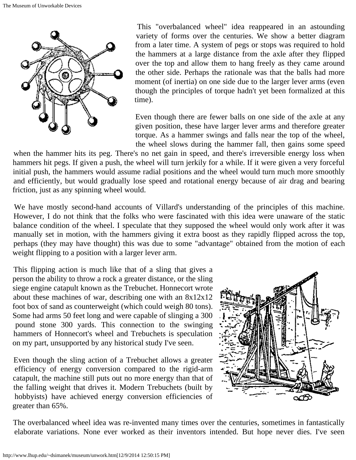

This "overbalanced wheel" idea reappeared in an astounding variety of forms over the centuries. We show a better diagram from a later time. A system of pegs or stops was required to hold the hammers at a large distance from the axle after they flipped over the top and allow them to hang freely as they came around the other side. Perhaps the rationale was that the balls had more moment (of inertia) on one side due to the larger lever arms (even though the principles of torque hadn't yet been formalized at this time).

Even though there are fewer balls on one side of the axle at any given position, these have larger lever arms and therefore greater torque. As a hammer swings and falls near the top of the wheel, the wheel slows during the hammer fall, then gains some speed

 when the hammer hits its peg. There's no net gain in speed, and there's irreversible energy loss when hammers hit pegs. If given a push, the wheel will turn jerkily for a while. If it were given a very forceful initial push, the hammers would assume radial positions and the wheel would turn much more smoothly and efficiently, but would gradually lose speed and rotational energy because of air drag and bearing friction, just as any spinning wheel would.

We have mostly second-hand accounts of Villard's understanding of the principles of this machine. However, I do not think that the folks who were fascinated with this idea were unaware of the static balance condition of the wheel. I speculate that they supposed the wheel would only work after it was manually set in motion, with the hammers giving it extra boost as they rapidly flipped across the top, perhaps (they may have thought) this was due to some "advantage" obtained from the motion of each weight flipping to a position with a larger lever arm.

This flipping action is much like that of a sling that gives a person the ability to throw a rock a greater distance, or the sling siege engine catapult known as the Trebuchet. Honnecort wrote about these machines of war, describing one with an 8x12x12 foot box of sand as counterweight (which could weigh 80 tons). Some had arms 50 feet long and were capable of slinging a 300 pound stone 300 yards. This connection to the swinging hammers of Honnecort's wheel and Trebuchets is speculation on my part, unsupported by any historical study I've seen.

Even though the sling action of a Trebuchet allows a greater efficiency of energy conversion compared to the rigid-arm catapult, the machine still puts out no more energy than that of the falling weight that drives it. Modern Trebuchets (built by hobbyists) have achieved energy conversion efficiencies of greater than 65%.



The overbalanced wheel idea was re-invented many times over the centuries, sometimes in fantastically elaborate variations. None ever worked as their inventors intended. But hope never dies. I've seen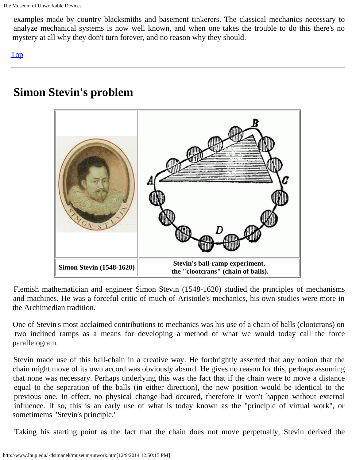examples made by country blacksmiths and basement tinkerers. The classical mechanics necessary to analyze mechanical systems is now well known, and when one takes the trouble to do this there's no mystery at all why they don't turn forever, and no reason why they should.

[Top](#page-0-0)

# <span id="page-8-0"></span>**Simon Stevin's problem**



Flemish mathematician and engineer Simon Stevin (1548-1620) studied the principles of mechanisms and machines. He was a forceful critic of much of Aristotle's mechanics, his own studies were more in the Archimedian tradition.

One of Stevin's most acclaimed contributions to mechanics was his use of a chain of balls (clootcrans) on two inclined ramps as a means for developing a method of what we would today call the force parallelogram.

Stevin made use of this ball-chain in a creative way. He forthrightly asserted that any notion that the chain might move of its own accord was obviously absurd. He gives no reason for this, perhaps assuming that none was necessary. Perhaps underlying this was the fact that if the chain were to move a distance equal to the separation of the balls (in either direction), the new position would be identical to the previous one. In effect, no physical change had occured, therefore it won't happen without external influence. If so, this is an early use of what is today known as the "principle of virtual work", or sometimems "Stevin's principle."

Taking his starting point as the fact that the chain does not move perpetually, Stevin derived the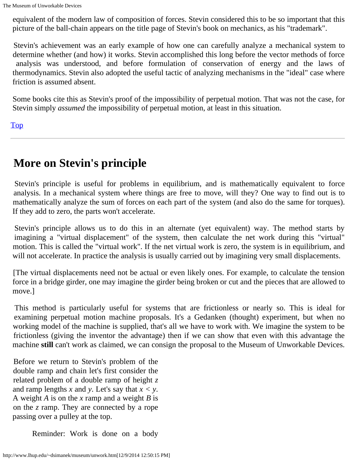equivalent of the modern law of composition of forces. Stevin considered this to be so important that this picture of the ball-chain appears on the title page of Stevin's book on mechanics, as his "trademark".

Stevin's achievement was an early example of how one can carefully analyze a mechanical system to determine whether (and how) it works. Stevin accomplished this long before the vector methods of force analysis was understood, and before formulation of conservation of energy and the laws of thermodynamics. Stevin also adopted the useful tactic of analyzing mechanisms in the "ideal" case where friction is assumed absent.

Some books cite this as Stevin's proof of the impossibility of perpetual motion. That was not the case, for Stevin simply *assumed* the impossibility of perpetual motion, at least in this situation.

[Top](#page-0-0)

# <span id="page-9-0"></span>**More on Stevin's principle**

Stevin's principle is useful for problems in equilibrium, and is mathematically equivalent to force analysis. In a mechanical system where things are free to move, will they? One way to find out is to mathematically analyze the sum of forces on each part of the system (and also do the same for torques). If they add to zero, the parts won't accelerate.

Stevin's principle allows us to do this in an alternate (yet equivalent) way. The method starts by imagining a "virtual displacement" of the system, then calculate the net work during this "virtual" motion. This is called the "virtual work". If the net virtual work is zero, the system is in equilibrium, and will not accelerate. In practice the analysis is usually carried out by imagining very small displacements.

[The virtual displacements need not be actual or even likely ones. For example, to calculate the tension force in a bridge girder, one may imagine the girder being broken or cut and the pieces that are allowed to move.]

This method is particularly useful for systems that are frictionless or nearly so. This is ideal for examining perpetual motion machine proposals. It's a Gedanken (thought) experiment, but when no working model of the machine is supplied, that's all we have to work with. We imagine the system to be frictionless (giving the inventor the advantage) then if we can show that even with this advantage the machine **still** can't work as claimed, we can consign the proposal to the Museum of Unworkable Devices.

Before we return to Stevin's problem of the double ramp and chain let's first consider the related problem of a double ramp of height *z* and ramp lengths *x* and *y*. Let's say that *x < y*. A weight *A* is on the *x* ramp and a weight *B* is on the *z* ramp. They are connected by a rope passing over a pulley at the top.

Reminder: Work is done on a body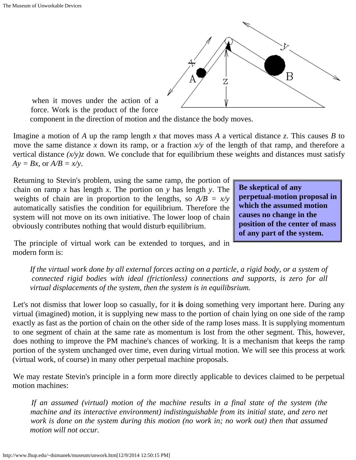

 when it moves under the action of a force. Work is the product of the force

component in the direction of motion and the distance the body moves.

Imagine a motion of *A* up the ramp length *x* that moves mass *A* a vertical distance *z*. This causes *B* to move the same distance *x* down its ramp, or a fraction *x/y* of the length of that ramp, and therefore a vertical distance  $(x/y)z$  down. We conclude that for equilibrium these weights and distances must satisfy  $Ay = Bx$ , or  $A/B = x/y$ .

Returning to Stevin's problem, using the same ramp, the portion of chain on ramp *x* has length *x*. The portion on *y* has length *y*. The weights of chain are in proportion to the lengths, so  $A/B = x/y$  automatically satisfies the condition for equilibrium. Therefore the system will not move on its own initiative. The lower loop of chain obviously contributes nothing that would disturb equilibrium.

**Be skeptical of any perpetual-motion proposal in which the assumed motion causes no change in the position of the center of mass of any part of the system.**

The principle of virtual work can be extended to torques, and in modern form is:

*If the virtual work done by all external forces acting on a particle, a rigid body, or a system of connected rigid bodies with ideal (frictionless) connections and supports, is zero for all virtual displacements of the system, then the system is in equilibsrium.*

Let's not dismiss that lower loop so casually, for it **is** doing something very important here. During any virtual (imagined) motion, it is supplying new mass to the portion of chain lying on one side of the ramp exactly as fast as the portion of chain on the other side of the ramp loses mass. It is supplying momentum to one segment of chain at the same rate as momentum is lost from the other segment. This, however, does nothing to improve the PM machine's chances of working. It is a mechanism that keeps the ramp portion of the system unchanged over time, even during virtual motion. We will see this process at work (virtual work, of course) in many other perpetual machine proposals.

We may restate Stevin's principle in a form more directly applicable to devices claimed to be perpetual motion machines:

*If an assumed (virtual) motion of the machine results in a final state of the system (the machine and its interactive environment) indistinguishable from its initial state, and zero net work is done on the system during this motion (no work in; no work out) then that assumed motion will not occur.*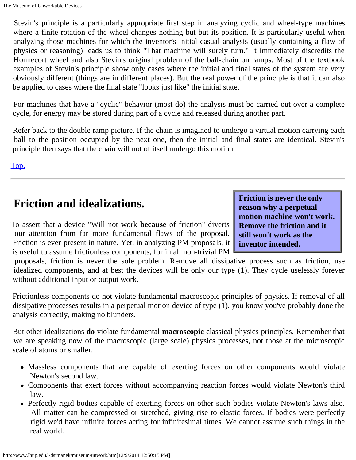Stevin's principle is a particularly appropriate first step in analyzing cyclic and wheel-type machines where a finite rotation of the wheel changes nothing but but its position. It is particularly useful when analyzing those machines for which the inventor's initial casual analysis (usually containing a flaw of physics or reasoning) leads us to think "That machine will surely turn." It immediately discredits the Honnecort wheel and also Stevin's original problem of the ball-chain on ramps. Most of the textbook examples of Stevin's principle show only cases where the initial and final states of the system are very obviously different (things are in different places). But the real power of the principle is that it can also be applied to cases where the final state "looks just like" the initial state.

For machines that have a "cyclic" behavior (most do) the analysis must be carried out over a complete cycle, for energy may be stored during part of a cycle and released during another part.

Refer back to the double ramp picture. If the chain is imagined to undergo a virtual motion carrying each ball to the position occupied by the next one, then the initial and final states are identical. Stevin's principle then says that the chain will not of itself undergo this motion.

[Top.](#page-0-0)

# <span id="page-11-0"></span>**Friction and idealizations.**

To assert that a device "Will not work **because** of friction" diverts our attention from far more fundamental flaws of the proposal. Friction is ever-present in nature. Yet, in analyzing PM proposals, it is useful to assume frictionless components, for in all non-trivial PM

**Friction is never the only reason why a perpetual motion machine won't work. Remove the friction and it still won't work as the inventor intended.**

 proposals, friction is never the sole problem. Remove all dissipative process such as friction, use idealized components, and at best the devices will be only our type (1). They cycle uselessly forever without additional input or output work.

Frictionless components do not violate fundamental macroscopic principles of physics. If removal of all dissipative processes results in a perpetual motion device of type (1), you know you've probably done the analysis correctly, making no blunders.

But other idealizations **do** violate fundamental **macroscopic** classical physics principles. Remember that we are speaking now of the macroscopic (large scale) physics processes, not those at the microscopic scale of atoms or smaller.

- Massless components that are capable of exerting forces on other components would violate Newton's second law.
- Components that exert forces without accompanying reaction forces would violate Newton's third law.
- Perfectly rigid bodies capable of exerting forces on other such bodies violate Newton's laws also. All matter can be compressed or stretched, giving rise to elastic forces. If bodies were perfectly rigid we'd have infinite forces acting for infinitesimal times. We cannot assume such things in the real world.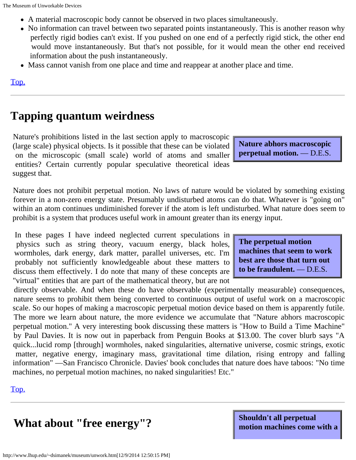- A material macroscopic body cannot be observed in two places simultaneously.
- No information can travel between two separated points instantaneously. This is another reason why perfectly rigid bodies can't exist. If you pushed on one end of a perfectly rigid stick, the other end would move instantaneously. But that's not possible, for it would mean the other end received information about the push instantaneously.
- Mass cannot vanish from one place and time and reappear at another place and time.

<span id="page-12-0"></span>[Top.](#page-0-0)

# **Tapping quantum weirdness**

Nature's prohibitions listed in the last section apply to macroscopic (large scale) physical objects. Is it possible that these can be violated on the microscopic (small scale) world of atoms and smaller entities? Certain currently popular speculative theoretical ideas suggest that.

**Nature abhors macroscopic perpetual motion.** — D.E.S.

Nature does not prohibit perpetual motion. No laws of nature would be violated by something existing forever in a non-zero energy state. Presumably undisturbed atoms can do that. Whatever is "going on" within an atom continues undiminished forever if the atom is left undisturbed. What nature does seem to prohibit is a system that produces useful work in amount greater than its energy input.

In these pages I have indeed neglected current speculations in physics such as string theory, vacuum energy, black holes, wormholes, dark energy, dark matter, parallel universes, etc. I'm probably not sufficiently knowledgeable about these matters to discuss them effectively. I do note that many of these concepts are "virtual" entities that are part of the mathematical theory, but are not

 directly observable. And when these do have observable (experimentally measurable) consequences, nature seems to prohibit them being converted to continuous output of useful work on a macroscopic scale. So our hopes of making a macroscopic perpetual motion device based on them is apparently futile. The more we learn about nature, the more evidence we accumulate that "Nature abhors macroscopic perpetual motion." A very interesting book discussing these matters is "How to Build a Time Machine" by Paul Davies. It is now out in paperback from Penguin Books at \$13.00. The cover blurb says "A quick...lucid romp [through] wormholes, naked singularities, alternative universe, cosmic strings, exotic matter, negative energy, imaginary mass, gravitational time dilation, rising entropy and falling information" —San Francisco Chronicle. Davies' book concludes that nature does have taboos: "No time machines, no perpetual motion machines, no naked singularities! Etc."

<span id="page-12-1"></span>[Top.](#page-0-0)

# **What about "free energy"?**

**Shouldn't all perpetual motion machines come with a**

**The perpetual motion machines that seem to work best are those that turn out to be fraudulent.** — D.E.S.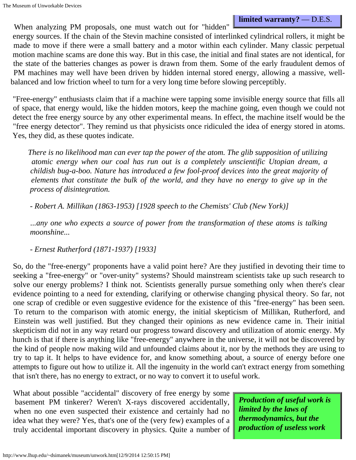**limited warranty?** — D.E.S.

When analyzing PM proposals, one must watch out for "hidden" energy sources. If the chain of the Stevin machine consisted of interlinked cylindrical rollers, it might be made to move if there were a small battery and a motor within each cylinder. Many classic perpetual motion machine scams are done this way. But in this case, the initial and final states are not identical, for the state of the batteries changes as power is drawn from them. Some of the early fraudulent demos of PM machines may well have been driven by hidden internal stored energy, allowing a massive, wellbalanced and low friction wheel to turn for a very long time before slowing perceptibly.

"Free-energy" enthusiasts claim that if a machine were tapping some invisible energy source that fills all of space, that energy would, like the hidden motors, keep the machine going, even though we could not detect the free energy source by any other experimental means. In effect, the machine itself would be the "free energy detector". They remind us that physicists once ridiculed the idea of energy stored in atoms. Yes, they did, as these quotes indicate.

*There is no likelihood man can ever tap the power of the atom. The glib supposition of utilizing atomic energy when our coal has run out is a completely unscientific Utopian dream, a childish bug-a-boo. Nature has introduced a few fool-proof devices into the great majority of elements that constitute the bulk of the world, and they have no energy to give up in the process of disintegration.*

*- Robert A. Millikan (1863-1953) [1928 speech to the Chemists' Club (New York)]*

*...any one who expects a source of power from the transformation of these atoms is talking moonshine...*

*- Ernest Rutherford (1871-1937) [1933]*

So, do the "free-energy" proponents have a valid point here? Are they justified in devoting their time to seeking a "free-energy" or "over-unity" systems? Should mainstream scientists take up such research to solve our energy problems? I think not. Scientists generally pursue something only when there's clear evidence pointing to a need for extending, clarifying or otherwise changing physical theory. So far, not one scrap of credible or even suggestive evidence for the existence of this "free-energy" has been seen. To return to the comparison with atomic energy, the initial skepticism of Millikan, Rutherford, and Einstein was well justified. But they changed their opinions as new evidence came in. Their initial skepticism did not in any way retard our progress toward discovery and utilization of atomic energy. My hunch is that if there is anything like "free-energy" anywhere in the universe, it will not be discovered by the kind of people now making wild and unfounded claims about it, nor by the methods they are using to try to tap it. It helps to have evidence for, and know something about, a source of energy before one attempts to figure out how to utilize it. All the ingenuity in the world can't extract energy from something that isn't there, has no energy to extract, or no way to convert it to useful work.

What about possible "accidental" discovery of free energy by some basement PM tinkerer? Weren't X-rays discovered accidentally, when no one even suspected their existence and certainly had no idea what they were? Yes, that's one of the (very few) examples of a truly accidental important discovery in physics. Quite a number of

*Production of useful work is limited by the laws of thermodynamics, but the production of useless work*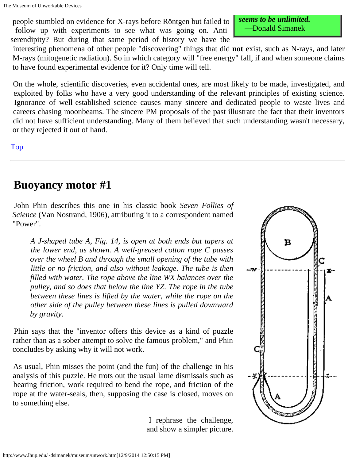The Museum of Unworkable Devices

people stumbled on evidence for X-rays before Röntgen but failed to **seems to be unlimited** follow up with experiments to see what was going on. Anti-<br> **Explored Simmanek** serendipity? But during that same period of history we have the

 interesting phenomena of other people "discovering" things that did **not** exist, such as N-rays, and later M-rays (mitogenetic radiation). So in which category will "free energy" fall, if and when someone claims to have found experimental evidence for it? Only time will tell.

On the whole, scientific discoveries, even accidental ones, are most likely to be made, investigated, and exploited by folks who have a very good understanding of the relevant principles of existing science. Ignorance of well-established science causes many sincere and dedicated people to waste lives and careers chasing moonbeams. The sincere PM proposals of the past illustrate the fact that their inventors did not have sufficient understanding. Many of them believed that such understanding wasn't necessary, or they rejected it out of hand.

### [Top](#page-0-0)

# <span id="page-14-0"></span>**Buoyancy motor #1**

 John Phin describes this one in his classic book *Seven Follies of Science* (Van Nostrand, 1906), attributing it to a correspondent named "Power".

*A J-shaped tube A, Fig. 14, is open at both ends but tapers at the lower end, as shown. A well-greased cotton rope C passes over the wheel B and through the small opening of the tube with little or no friction, and also without leakage. The tube is then filled with water. The rope above the line WX balances over the pulley, and so does that below the line YZ. The rope in the tube between these lines is lifted by the water, while the rope on the other side of the pulley between these lines is pulled downward by gravity.*

Phin says that the "inventor offers this device as a kind of puzzle rather than as a sober attempt to solve the famous problem," and Phin concludes by asking why it will not work.

As usual, Phin misses the point (and the fun) of the challenge in his analysis of this puzzle. He trots out the usual lame dismissals such as bearing friction, work required to bend the rope, and friction of the rope at the water-seals, then, supposing the case is closed, moves on to something else.

> I rephrase the challenge, and show a simpler picture.

в C ٠w <u> 1920an 1930an 1940an 1950an 1950an 1950an 1950an 1950an 1950an 1950an 1950an 1950an 1950an 1950an 1950an 195</u> 38888888833 z.

 *seems to be unlimited.*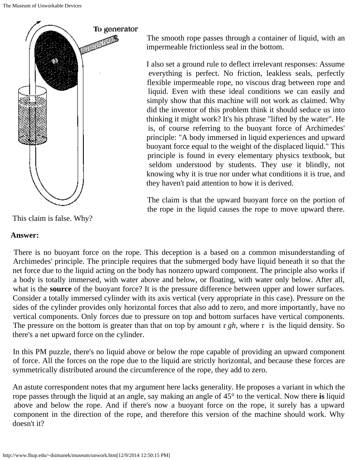

This claim is false. Why?

### **Answer:**

 The smooth rope passes through a container of liquid, with an impermeable frictionless seal in the bottom.

 I also set a ground rule to deflect irrelevant responses: Assume everything is perfect. No friction, leakless seals, perfectly flexible impermeable rope, no viscous drag between rope and liquid. Even with these ideal conditions we can easily and simply show that this machine will not work as claimed. Why did the inventor of this problem think it should seduce us into thinking it might work? It's his phrase "lifted by the water". He is, of course referring to the buoyant force of Archimedes' principle: "A body immersed in liquid experiences and upward buoyant force equal to the weight of the displaced liquid." This principle is found in every elementary physics textbook, but seldom understood by students. They use it blindly, not knowing why it is true nor under what conditions it is true, and they haven't paid attention to how it is derived.

The claim is that the upward buoyant force on the portion of the rope in the liquid causes the rope to move upward there.

There is no buoyant force on the rope. This deception is a based on a common misunderstanding of Archimedes' principle. The principle requires that the submerged body have liquid beneath it so that the net force due to the liquid acting on the body has nonzero upward component. The principle also works if a body is totally immersed, with water above and below, or floating, with water only below. After all, what is the **source** of the buoyant force? It is the pressure difference between upper and lower surfaces. Consider a totally immersed cylinder with its axis vertical (very appropriate in this case). Pressure on the sides of the cylinder provides only horizontal forces that also add to zero, and more importantly, have no vertical components. Only forces due to pressure on top and bottom surfaces have vertical components. The pressure on the bottom is greater than that on top by amount r *gh*, where r is the liquid density. So there's a net upward force on the cylinder.

In this PM puzzle, there's no liquid above or below the rope capable of providing an upward component of force. All the forces on the rope due to the liquid are strictly horizontal, and because these forces are symmetrically distributed around the circumference of the rope, they add to zero.

An astute correspondent notes that my argument here lacks generality. He proposes a variant in which the rope passes through the liquid at an angle, say making an angle of 45° to the vertical. Now there **is** liquid above and below the rope. And if there's now a buoyant force on the rope, it surely has a upward component in the direction of the rope, and therefore this version of the machine should work. Why doesn't it?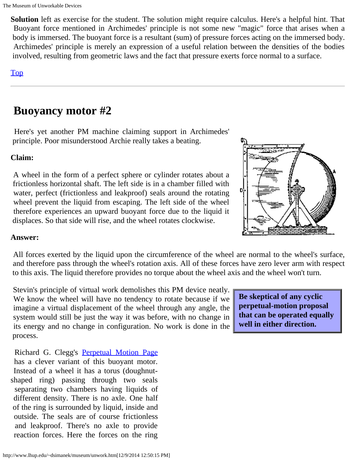**Solution** left as exercise for the student. The solution might require calculus. Here's a helpful hint. That Buoyant force mentioned in Archimedes' principle is not some new "magic" force that arises when a body is immersed. The buoyant force is a resultant (sum) of pressure forces acting on the immersed body. Archimedes' principle is merely an expression of a useful relation between the densities of the bodies involved, resulting from geometric laws and the fact that pressure exerts force normal to a surface.

### [Top](#page-0-0)

# <span id="page-16-0"></span>**Buoyancy motor #2**

 Here's yet another PM machine claiming support in Archimedes' principle. Poor misunderstood Archie really takes a beating.

### **Claim:**

A wheel in the form of a perfect sphere or cylinder rotates about a frictionless horizontal shaft. The left side is in a chamber filled with water, perfect (frictionless and leakproof) seals around the rotating wheel prevent the liquid from escaping. The left side of the wheel therefore experiences an upward buoyant force due to the liquid it displaces. So that side will rise, and the wheel rotates clockwise.



### **Answer:**

All forces exerted by the liquid upon the circumference of the wheel are normal to the wheel's surface, and therefore pass through the wheel's rotation axis. All of these forces have zero lever arm with respect to this axis. The liquid therefore provides no torque about the wheel axis and the wheel won't turn.

Stevin's principle of virtual work demolishes this PM device neatly. We know the wheel will have no tendency to rotate because if we imagine a virtual displacement of the wheel through any angle, the system would still be just the way it was before, with no change in its energy and no change in configuration. No work is done in the process.

 Richard G. Clegg's Perpetual [Motion Page](http://www.richardclegg.org/new/musings/perpetual.html) has a clever variant of this buoyant motor. Instead of a wheel it has a torus (doughnutshaped ring) passing through two seals separating two chambers having liquids of different density. There is no axle. One half of the ring is surrounded by liquid, inside and outside. The seals are of course frictionless and leakproof. There's no axle to provide reaction forces. Here the forces on the ring

**Be skeptical of any cyclic perpetual-motion proposal that can be operated equally well in either direction.**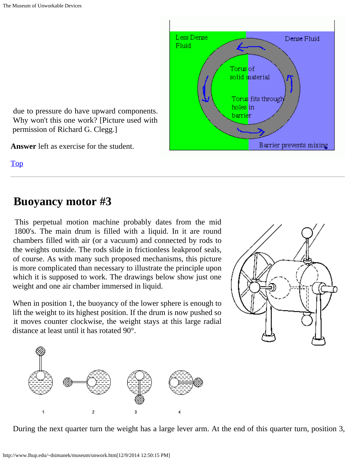due to pressure do have upward components. Why won't this one work? [Picture used with permission of Richard G. Clegg.]

**Answer** left as exercise for the student.

[Top](#page-0-0)

# <span id="page-17-0"></span>**Buoyancy motor #3**

 This perpetual motion machine probably dates from the mid 1800's. The main drum is filled with a liquid. In it are round chambers filled with air (or a vacuum) and connected by rods to the weights outside. The rods slide in frictionless leakproof seals, of course. As with many such proposed mechanisms, this picture is more complicated than necessary to illustrate the principle upon which it is supposed to work. The drawings below show just one weight and one air chamber immersed in liquid.

When in position 1, the buoyancy of the lower sphere is enough to lift the weight to its highest position. If the drum is now pushed so it moves counter clockwise, the weight stays at this large radial distance at least until it has rotated 90°.



 $\overline{2}$ 

h



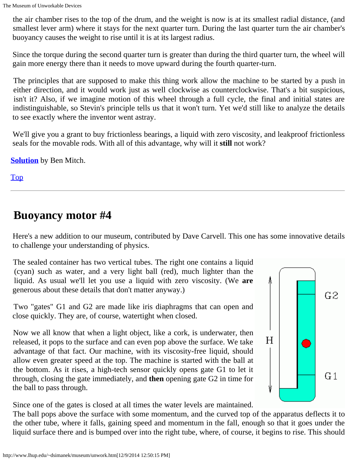the air chamber rises to the top of the drum, and the weight is now is at its smallest radial distance, (and smallest lever arm) where it stays for the next quarter turn. During the last quarter turn the air chamber's buoyancy causes the weight to rise until it is at its largest radius.

Since the torque during the second quarter turn is greater than during the third quarter turn, the wheel will gain more energy there than it needs to move upward during the fourth quarter-turn.

The principles that are supposed to make this thing work allow the machine to be started by a push in either direction, and it would work just as well clockwise as counterclockwise. That's a bit suspicious, isn't it? Also, if we imagine motion of this wheel through a full cycle, the final and initial states are indistinguishable, so Stevin's principle tells us that it won't turn. Yet we'd still like to analyze the details to see exactly where the inventor went astray.

We'll give you a grant to buy frictionless bearings, a liquid with zero viscosity, and leakproof frictionless seals for the movable rods. With all of this advantage, why will it **still** not work?

**[Solution](http://www.lhup.edu/~dsimanek/museum/bmitch.htm)** by Ben Mitch.

[Top](#page-0-0)

# <span id="page-18-0"></span>**Buoyancy motor #4**

Here's a new addition to our museum, contributed by Dave Carvell. This one has some innovative details to challenge your understanding of physics.

 The sealed container has two vertical tubes. The right one contains a liquid (cyan) such as water, and a very light ball (red), much lighter than the liquid. As usual we'll let you use a liquid with zero viscosity. (We **are** generous about these details that don't matter anyway.)

Two "gates" G1 and G2 are made like iris diaphragms that can open and close quickly. They are, of course, watertight when closed.

Now we all know that when a light object, like a cork, is underwater, then released, it pops to the surface and can even pop above the surface. We take advantage of that fact. Our machine, with its viscosity-free liquid, should allow even greater speed at the top. The machine is started with the ball at the bottom. As it rises, a high-tech sensor quickly opens gate G1 to let it through, closing the gate immediately, and **then** opening gate G2 in time for the ball to pass through.



Since one of the gates is closed at all times the water levels are maintained.

The ball pops above the surface with some momentum, and the curved top of the apparatus deflects it to the other tube, where it falls, gaining speed and momentum in the fall, enough so that it goes under the liquid surface there and is bumped over into the right tube, where, of course, it begins to rise. This should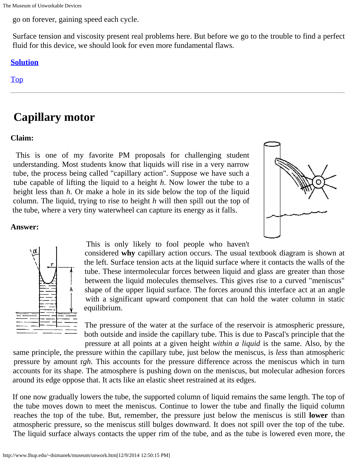go on forever, gaining speed each cycle.

Surface tension and viscosity present real problems here. But before we go to the trouble to find a perfect fluid for this device, we should look for even more fundamental flaws.

### **[Solution](http://www.lhup.edu/~dsimanek/museum/buoy4.htm)**

<span id="page-19-0"></span>[Top](#page-0-0)

# **Capillary motor**

### **Claim:**

This is one of my favorite PM proposals for challenging student understanding. Most students know that liquids will rise in a very narrow tube, the process being called "capillary action". Suppose we have such a tube capable of lifting the liquid to a height *h*. Now lower the tube to a height less than *h*. Or make a hole in its side below the top of the liquid column. The liquid, trying to rise to height *h* will then spill out the top of the tube, where a very tiny waterwheel can capture its energy as it falls.







This is only likely to fool people who haven't

 considered **why** capillary action occurs. The usual textbook diagram is shown at the left. Surface tension acts at the liquid surface where it contacts the walls of the tube. These intermolecular forces between liquid and glass are greater than those between the liquid molecules themselves. This gives rise to a curved "meniscus" shape of the upper liquid surface. The forces around this interface act at an angle with a significant upward component that can hold the water column in static equilibrium.

The pressure of the water at the surface of the reservoir is atmospheric pressure, both outside and inside the capillary tube. This is due to Pascal's principle that the pressure at all points at a given height *within a liquid* is the same. Also, by the

 same principle, the pressure within the capillary tube, just below the meniscus, is *less* than atmospheric pressure by amount r*gh*. This accounts for the pressure difference across the meniscus which in turn accounts for its shape. The atmosphere is pushing down on the meniscus, but molecular adhesion forces around its edge oppose that. It acts like an elastic sheet restrained at its edges.

If one now gradually lowers the tube, the supported column of liquid remains the same length. The top of the tube moves down to meet the meniscus. Continue to lower the tube and finally the liquid column reaches the top of the tube. But, remember, the pressure just below the meniscus is still **lower** than atmospheric pressure, so the meniscus still bulges downward. It does not spill over the top of the tube. The liquid surface always contacts the upper rim of the tube, and as the tube is lowered even more, the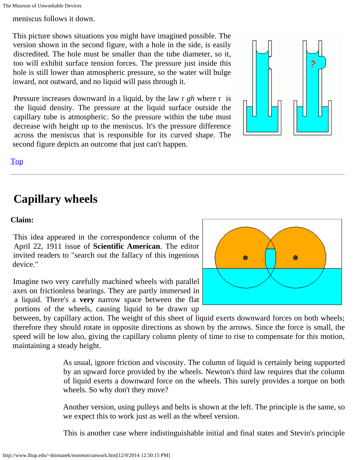meniscus follows it down.

This picture shows situations you might have imagined possible. The version shown in the second figure, with a hole in the side, is easily discredited. The hole must be smaller than the tube diameter, so it, too will exhibit surface tension forces. The pressure just inside this hole is still lower than atmospheric pressure, so the water will bulge inward, not outward, and no liquid will pass through it.

Pressure increases downward in a liquid, by the law r *gh* where r is the liquid density. The pressure at the liquid surface outside the capillary tube is atmospheric. So the pressure within the tube must decrease with height up to the meniscus. It's the pressure difference across the meniscus that is responsible for its curved shape. The second figure depicts an outcome that just can't happen.



### [Top](#page-0-0)

# <span id="page-20-0"></span>**Capillary wheels**

### **Claim:**

This idea appeared in the correspondence column of the April 22, 1911 issue of **Scientific American**. The editor invited readers to "search out the fallacy of this ingenious device."

Imagine two very carefully machined wheels with parallel axes on frictionless bearings. They are partly immersed in a liquid. There's a **very** narrow space between the flat portions of the wheels, causing liquid to be drawn up



 between, by capillary action. The weight of this sheet of liquid exerts downward forces on both wheels; therefore they should rotate in opposite directions as shown by the arrows. Since the force is small, the speed will be low also, giving the capillary column plenty of time to rise to compensate for this motion, maintaining a steady height.

> As usual, ignore friction and viscosity. The column of liquid is certainly being supported by an upward force provided by the wheels. Newton's third law requires that the column of liquid exerts a downward force on the wheels. This surely provides a torque on both wheels. So why don't they move?

> Another version, using pulleys and belts is shown at the left. The principle is the same, so we expect this to work just as well as the wheel version.

> This is another case where indistinguishable initial and final states and Stevin's principle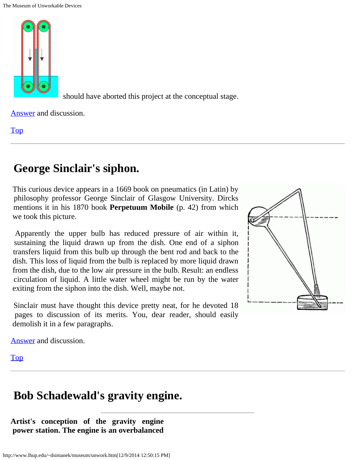

should have aborted this project at the conceptual stage.

[Answer](http://www.lhup.edu/~dsimanek/museum/capillar.htm) and discussion.

[Top](#page-0-0)

# <span id="page-21-0"></span>**George Sinclair's siphon.**

 This curious device appears in a 1669 book on pneumatics (in Latin) by philosophy professor George Sinclair of Glasgow University. Dircks mentions it in his 1870 book **Perpetuum Mobile** (p. 42) from which we took this picture.

Apparently the upper bulb has reduced pressure of air within it, sustaining the liquid drawn up from the dish. One end of a siphon transfers liquid from this bulb up through the bent rod and back to the dish. This loss of liquid from the bulb is replaced by more liquid drawn from the dish, due to the low air pressure in the bulb. Result: an endless circulation of liquid. A little water wheel might be run by the water exiting from the siphon into the dish. Well, maybe not.

Sinclair must have thought this device pretty neat, for he devoted 18 pages to discussion of its merits. You, dear reader, should easily demolish it in a few paragraphs.



[Answer](http://www.lhup.edu/~dsimanek/museum/sinclair.htm) and discussion.

[Top](#page-0-0)

# <span id="page-21-1"></span>**Bob Schadewald's gravity engine.**

### **Artist's conception of the gravity engine power station. The engine is an overbalanced**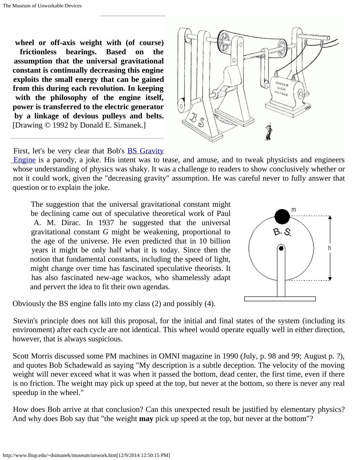**wheel or off-axis weight with (of course) frictionless bearings. Based on the assumption that the universal gravitational constant is continually decreasing this engine exploits the small energy that can be gained from this during each revolution. In keeping with the philosophy of the engine itself, power is transferred to the electric generator by a linkage of devious pulleys and belts.** [Drawing © 1992 by Donald E. Simanek.]



First, let's be very clear that Bob's **BS** Gravity

[Engine](http://www.lhup.edu/~dsimanek/sge.htm) is a parody, a joke. His intent was to tease, and amuse, and to tweak physicists and engineers whose understanding of physics was shaky. It was a challenge to readers to show conclusively whether or not it could work, given the "decreasing gravity" assumption. He was careful never to fully answer that question or to explain the joke.

The suggestion that the universal gravitational constant might be declining came out of speculative theoretical work of Paul A. M. Dirac. In 1937 he suggested that the universal gravitational constant *G* might be weakening, proportional to the age of the universe. He even predicted that in 10 billion years it might be only half what it is today. Since then the notion that fundamental constants, including the speed of light, might change over time has fascinated speculative theorists. It has also fascinated new-age wackos, who shamelessly adapt and pervert the idea to fit their own agendas.

Obviously the BS engine falls into my class (2) and possibly (4).

m  $8.8$ h

Stevin's principle does not kill this proposal, for the initial and final states of the system (including its environment) after each cycle are not identical. This wheel would operate equally well in either direction, however, that is always suspicious.

Scott Morris discussed some PM machines in OMNI magazine in 1990 (July, p. 98 and 99; August p. ?), and quotes Bob Schadewald as saying "My description is a subtle deception. The velocity of the moving weight will never exceed what it was when it passed the bottom, dead center, the first time, even if there is no friction. The weight may pick up speed at the top, but never at the bottom, so there is never any real speedup in the wheel."

How does Bob arrive at that conclusion? Can this unexpected result be justified by elementary physics? And why does Bob say that "the weight **may** pick up speed at the top, but never at the bottom"?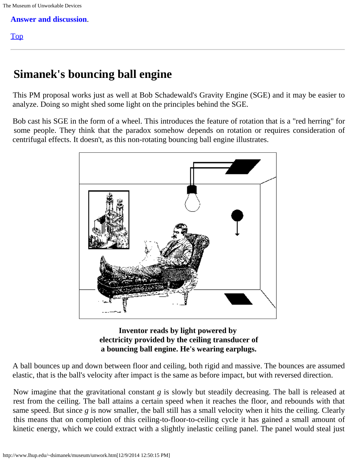**[Answer and discussion](http://www.lhup.edu/~dsimanek/museum/sge-ans.htm)**.

### <span id="page-23-0"></span>[Top](#page-0-0)

# **Simanek's bouncing ball engine**

This PM proposal works just as well at Bob Schadewald's Gravity Engine (SGE) and it may be easier to analyze. Doing so might shed some light on the principles behind the SGE.

Bob cast his SGE in the form of a wheel. This introduces the feature of rotation that is a "red herring" for some people. They think that the paradox somehow depends on rotation or requires consideration of centrifugal effects. It doesn't, as this non-rotating bouncing ball engine illustrates.



### **Inventor reads by light powered by electricity provided by the ceiling transducer of a bouncing ball engine. He's wearing earplugs.**

A ball bounces up and down between floor and ceiling, both rigid and massive. The bounces are assumed elastic, that is the ball's velocity after impact is the same as before impact, but with reversed direction.

Now imagine that the gravitational constant *g* is slowly but steadily decreasing. The ball is released at rest from the ceiling. The ball attains a certain speed when it reaches the floor, and rebounds with that same speed. But since *g* is now smaller, the ball still has a small velocity when it hits the ceiling. Clearly this means that on completion of this ceiling-to-floor-to-ceiling cycle it has gained a small amount of kinetic energy, which we could extract with a slightly inelastic ceiling panel. The panel would steal just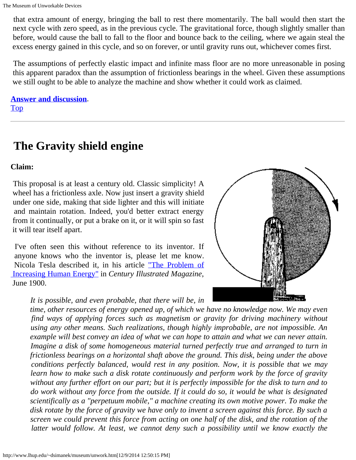that extra amount of energy, bringing the ball to rest there momentarily. The ball would then start the next cycle with zero speed, as in the previous cycle. The gravitational force, though slightly smaller than before, would cause the ball to fall to the floor and bounce back to the ceiling, where we again steal the excess energy gained in this cycle, and so on forever, or until gravity runs out, whichever comes first.

The assumptions of perfectly elastic impact and infinite mass floor are no more unreasonable in posing this apparent paradox than the assumption of frictionless bearings in the wheel. Given these assumptions we still ought to be able to analyze the machine and show whether it could work as claimed.

**[Answer and discussion](http://www.lhup.edu/~dsimanek/museum/bbe-ans.htm)**. [Top](#page-0-0)

# <span id="page-24-0"></span>**The Gravity shield engine**

### **Claim:**

This proposal is at least a century old. Classic simplicity! A wheel has a frictionless axle. Now just insert a gravity shield under one side, making that side lighter and this will initiate and maintain rotation. Indeed, you'd better extract energy from it continually, or put a brake on it, or it will spin so fast it will tear itself apart.

I've often seen this without reference to its inventor. If anyone knows who the inventor is, please let me know. Nicola Tesla described it, in his article ["The Problem of](http://www.tfcbooks.com/tesla/1900-06-00.htm)  [Increasing Human Energy"](http://www.tfcbooks.com/tesla/1900-06-00.htm) in *Century Illustrated Magazine*, June 1900.

*It is possible, and even probable, that there will be, in*



 *time, other resources of energy opened up, of which we have no knowledge now. We may even find ways of applying forces such as magnetism or gravity for driving machinery without using any other means. Such realizations, though highly improbable, are not impossible. An example will best convey an idea of what we can hope to attain and what we can never attain. Imagine a disk of some homogeneous material turned perfectly true and arranged to turn in frictionless bearings on a horizontal shaft above the ground. This disk, being under the above conditions perfectly balanced, would rest in any position. Now, it is possible that we may learn how to make such a disk rotate continuously and perform work by the force of gravity without any further effort on our part; but it is perfectly impossible for the disk to turn and to do work without any force from the outside. If it could do so, it would be what is designated scientifically as a "perpetuum mobile," a machine creating its own motive power. To make the disk rotate by the force of gravity we have only to invent a screen against this force. By such a screen we could prevent this force from acting on one half of the disk, and the rotation of the latter would follow. At least, we cannot deny such a possibility until we know exactly the*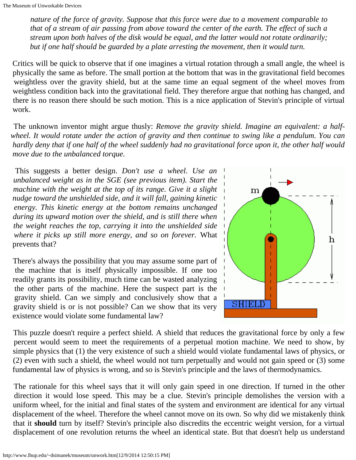*nature of the force of gravity. Suppose that this force were due to a movement comparable to that of a stream of air passing from above toward the center of the earth. The effect of such a stream upon both halves of the disk would be equal, and the latter would not rotate ordinarily; but if one half should be guarded by a plate arresting the movement, then it would turn.*

Critics will be quick to observe that if one imagines a virtual rotation through a small angle, the wheel is physically the same as before. The small portion at the bottom that was in the gravitational field becomes weightless over the gravity shield, but at the same time an equal segment of the wheel moves from weightless condition back into the gravitational field. They therefore argue that nothing has changed, and there is no reason there should be such motion. This is a nice application of Stevin's principle of virtual work.

The unknown inventor might argue thusly: *Remove the gravity shield. Imagine an equivalent: a halfwheel. It would rotate under the action of gravity and then continue to swing like a pendulum. You can hardly deny that if one half of the wheel suddenly had no gravitational force upon it, the other half would move due to the unbalanced torque.*

 This suggests a better design. *Don't use a wheel. Use an unbalanced weight as in the SGE (see previous item). Start the machine with the weight at the top of its range. Give it a slight nudge toward the unshielded side, and it will fall, gaining kinetic energy. This kinetic energy at the bottom remains unchanged during its upward motion over the shield, and is still there when the weight reaches the top, carrying it into the unshielded side where it picks up still more energy, and so on forever.* What prevents that?

There's always the possibility that you may assume some part of the machine that is itself physically impossible. If one too readily grants its possibility, much time can be wasted analyzing the other parts of the machine. Here the suspect part is the gravity shield. Can we simply and conclusively show that a gravity shield is or is not possible? Can we show that its very existence would violate some fundamental law?



This puzzle doesn't require a perfect shield. A shield that reduces the gravitational force by only a few percent would seem to meet the requirements of a perpetual motion machine. We need to show, by simple physics that (1) the very existence of such a shield would violate fundamental laws of physics, or (2) even with such a shield, the wheel would not turn perpetually and would not gain speed or (3) some fundamental law of physics is wrong, and so is Stevin's principle and the laws of thermodynamics.

The rationale for this wheel says that it will only gain speed in one direction. If turned in the other direction it would lose speed. This may be a clue. Stevin's principle demolishes the version with a uniform wheel, for the initial and final states of the system and environment are identical for any virtual displacement of the wheel. Therefore the wheel cannot move on its own. So why did we mistakenly think that it **should** turn by itself? Stevin's principle also discredits the eccentric weight version, for a virtual displacement of one revolution returns the wheel an identical state. But that doesn't help us understand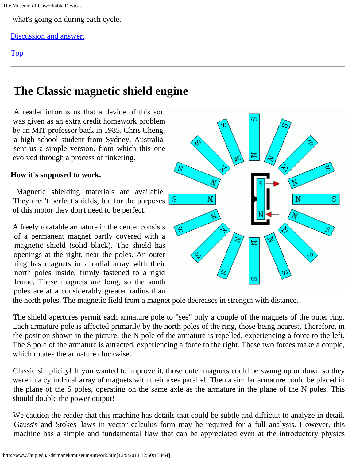what's going on during each cycle.

### [Discussion and answer.](http://www.lhup.edu/~dsimanek/museum/gravshld.htm)

### [Top](#page-0-0)

# <span id="page-26-0"></span>**The Classic magnetic shield engine**

A reader informs us that a device of this sort was given as an extra credit homework problem by an MIT professor back in 1985. Chris Cheng, a high school student from Sydney, Australia, sent us a simple version, from which this one evolved through a process of tinkering.

### **How it's supposed to work.**

Magnetic shielding materials are available. They aren't perfect shields, but for the purposes of this motor they don't need to be perfect.

A freely rotatable armature in the center consists of a permanent magnet partly covered with a magnetic shield (solid black). The shield has openings at the right, near the poles. An outer ring has magnets in a radial array with their north poles inside, firmly fastened to a rigid frame. These magnets are long, so the south poles are at a considerably greater radius than



the north poles. The magnetic field from a magnet pole decreases in strength with distance.

The shield apertures permit each armature pole to "see" only a couple of the magnets of the outer ring. Each armature pole is affected primarily by the north poles of the ring, those being nearest. Therefore, in the position shown in the picture, the N pole of the armature is repelled, experiencing a force to the left. The S pole of the armature is attracted, experiencing a force to the right. These two forces make a couple, which rotates the armature clockwise.

Classic simplicity! If you wanted to improve it, those outer magnets could be swung up or down so they were in a cylindrical array of magnets with their axes parallel. Then a similar armature could be placed in the plane of the S poles, operating on the same axle as the armature in the plane of the N poles. This should double the power output!

We caution the reader that this machine has details that could be subtle and difficult to analyze in detail. Gauss's and Stokes' laws in vector calculus form may be required for a full analysis. However, this machine has a simple and fundamental flaw that can be appreciated even at the introductory physics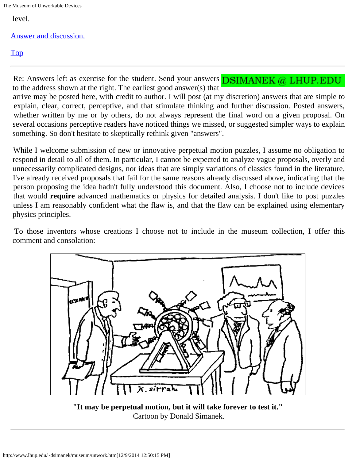The Museum of Unworkable Devices

level.

[Answer and discussion.](http://www.lhup.edu/~dsimanek/museum/cheng2.htm)

### [Top](#page-0-0)

Re: Answers left as exercise for the student. Send your answers  $\overline{DSIMANK}$  (a) LHUP. EDU to the address shown at the right. The earliest good answer(s) that arrive may be posted here, with credit to author. I will post (at my discretion) answers that are simple to explain, clear, correct, perceptive, and that stimulate thinking and further discussion. Posted answers, whether written by me or by others, do not always represent the final word on a given proposal. On several occasions perceptive readers have noticed things we missed, or suggested simpler ways to explain something. So don't hesitate to skeptically rethink given "answers".

While I welcome submission of new or innovative perpetual motion puzzles, I assume no obligation to respond in detail to all of them. In particular, I cannot be expected to analyze vague proposals, overly and unnecessarily complicated designs, nor ideas that are simply variations of classics found in the literature. I've already received proposals that fail for the same reasons already discussed above, indicating that the person proposing the idea hadn't fully understood this document. Also, I choose not to include devices that would **require** advanced mathematics or physics for detailed analysis. I don't like to post puzzles unless I am reasonably confident what the flaw is, and that the flaw can be explained using elementary physics principles.

To those inventors whose creations I choose not to include in the museum collection, I offer this comment and consolation:



**"It may be perpetual motion, but it will take forever to test it."** Cartoon by Donald Simanek.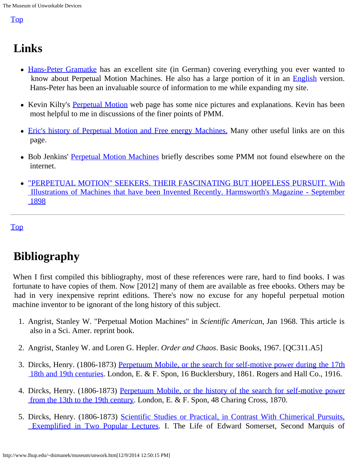### <span id="page-28-0"></span>[Top](#page-0-0)

# **Links**

- [Hans-Peter Gramatke](http://www.perpetuum.hp-gramatke.de/perpetuum/index.htm) has an excellent site (in German) covering everything you ever wanted to know about Perpetual Motion Machines. He also has a large portion of it in an [English](http://www.hp-gramatke.net/index.htm) version. Hans-Peter has been an invaluable source of information to me while expanding my site.
- Kevin Kilty's [Perpetual Motion](http://www.kilty.com/pmotion.htm) web page has some nice pictures and explanations. Kevin has been most helpful to me in discussions of the finer points of PMM.
- [Eric's history of Perpetual](http://www.phact.org/e/dennis4.html) [Motion and Free energy Machines.](http://www.phact.org/e/dennis4.html) Many other useful links are on this page.
- Bob Jenkins' [Perpetual Motion Machines](http://burtleburtle.net/bob/physics/whythere.html) briefly describes some PMM not found elsewhere on the internet.
- ["PERPETUAL MOTION" SEEKERS. THEIR FASCINATING BUT HOPELESS PURSUIT. With](http://homepage.ntlworld.com/forgottenfutures/perp/perp.htm)  [Illustrations of Machines that have been Invented Recently. Harmsworth's Magazine - September](http://homepage.ntlworld.com/forgottenfutures/perp/perp.htm)  [1898](http://homepage.ntlworld.com/forgottenfutures/perp/perp.htm)

<span id="page-28-1"></span>[Top](#page-0-0)

# **Bibliography**

When I first compiled this bibliography, most of these references were rare, hard to find books. I was fortunate to have copies of them. Now [2012] many of them are available as free ebooks. Others may be had in very inexpensive reprint editions. There's now no excuse for any hopeful perpetual motion machine inventor to be ignorant of the long history of this subject.

- 1. Angrist, Stanley W. "Perpetual Motion Machines" in *Scientific American*, Jan 1968. This article is also in a Sci. Amer. reprint book.
- 2. Angrist, Stanley W. and Loren G. Hepler. *Order and Chaos*. Basic Books, 1967. [QC311.A5]
- 3. Dircks, Henry. (1806-1873) [Perpetuum Mobile, or the search for self-motive](http://archive.org/details/perpetuummobile01dircgoog) [power during the 17th](http://archive.org/details/perpetuummobile01dircgoog)  [18th and 19th centuries](http://archive.org/details/perpetuummobile01dircgoog). London, E. & F. Spon, 16 Bucklersbury, 1861. Rogers and Hall Co., 1916.
- 4. Dircks, Henry. (1806-1873) [Perpetuum Mobile, or the history of the search](http://archive.org/details/perpetuummobile00dircgoog) [for self-motive power](http://archive.org/details/perpetuummobile00dircgoog)  [from the 13th to the 19th century](http://archive.org/details/perpetuummobile00dircgoog). London, E. & F. Spon, 48 Charing Cross, 1870.
- 5. Dircks, Henry. (1806-1873) [Scientific Studies or Practical, in Contrast](http://books.google.com/books/reader?id=Jhov-XcgOXsC&printsec=frontcover&output=reader&source=gbs_atb_hover) [With Chimerical Pursuits,](http://books.google.com/books/reader?id=Jhov-XcgOXsC&printsec=frontcover&output=reader&source=gbs_atb_hover)  [Exemplified in Two Popular Lectures](http://books.google.com/books/reader?id=Jhov-XcgOXsC&printsec=frontcover&output=reader&source=gbs_atb_hover). I. The Life of Edward Somerset, Second Marquis of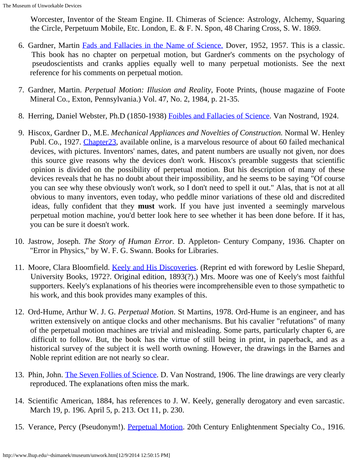Worcester, Inventor of the Steam Engine. II. Chimeras of Science: Astrology, Alchemy, Squaring the Circle, Perpetuum Mobile, Etc. London, E. & F. N. Spon, 48 Charing Cross, S. W. 1869.

- 6. Gardner, Martin [Fads and Fallacies in the Name of Science.](http://alternative-x.com/store/Martin%20Gardner%20-%20Fads%20%26%20Fallacies%20In%20The%20Name%20Of%20Science.pdf) Dover, 1952, 1957. This is a classic. This book has no chapter on perpetual motion, but Gardner's comments on the psychology of pseudoscientists and cranks applies equally well to many perpetual motionists. See the next reference for his comments on perpetual motion.
- 7. Gardner, Martin. *Perpetual Motion: Illusion and Reality*, Foote Prints, (house magazine of Foote Mineral Co., Exton, Pennsylvania.) Vol. 47, No. 2, 1984, p. 21-35.
- 8. Herring, Daniel Webster, Ph.D (1850-1938) [Foibles and Fallacies of Science](http://archive.org/details/foiblesandfallac029520mbp). Van Nostrand, 1924.
- 9. Hiscox, Gardner D., M.E. *Mechanical Appliances and Novelties of Construction.* Normal W. Henley Publ. Co., 1927. Chapter 23, available online, is a marvelous resource of about 60 failed mechanical devices, with pictures. Inventors' names, dates, and patent numbers are usually not given, nor does this source give reasons why the devices don't work. Hiscox's preamble suggests that scientific opinion is divided on the possibility of perpetual motion. But his description of many of these devices reveals that he has no doubt about their impossibility, and he seems to be saying "Of course you can see why these obviously won't work, so I don't need to spell it out." Alas, that is not at all obvious to many inventors, even today, who peddle minor variations of these old and discredited ideas, fully confident that they **must** work. If you have just invented a seemingly marvelous perpetual motion machine, you'd better look here to see whether it has been done before. If it has, you can be sure it doesn't work.
- 10. Jastrow, Joseph. *The Story of Human Error*. D. Appleton- Century Company, 1936. Chapter on "Error in Physics," by W. F. G. Swann. Books for Libraries.
- 11. Moore, Clara Bloomfield. [Keely and His Discoveries](http://archive.org/details/keelyhisdiscover00moorrich). (Reprint ed with foreword by Leslie Shepard, University Books, 1972?. Original edition, 1893(?).) Mrs. Moore was one of Keely's most faithful supporters. Keely's explanations of his theories were incomprehensible even to those sympathetic to his work, and this book provides many examples of this.
- 12. Ord-Hume, Arthur W. J. G. *Perpetual Motion*. St Martins, 1978. Ord-Hume is an engineer, and has written extensively on antique clocks and other mechanisms. But his cavalier "refutations" of many of the perpetual motion machines are trivial and misleading. Some parts, particularly chapter 6, are difficult to follow. But, the book has the virtue of still being in print, in paperback, and as a historical survey of the subject it is well worth owning. However, the drawings in the Barnes and Noble reprint edition are not nearly so clear.
- 13. Phin, John. [The Seven Follies of Science](http://archive.org/details/sciencesevenfoll00phinrich). D. Van Nostrand, 1906. The line drawings are very clearly reproduced. The explanations often miss the mark.
- 14. Scientific American, 1884, has references to J. W. Keely, generally derogatory and even sarcastic. March 19, p. 196. April 5, p. 213. Oct 11, p. 230.
- 15. Verance, Percy (Pseudonym!). [Perpetual Motion](http://4dlab.blogspot.com/2010/05/is-search-for-perpetual-motion-utopia.html). 20th Century Enlightenment Specialty Co., 1916.